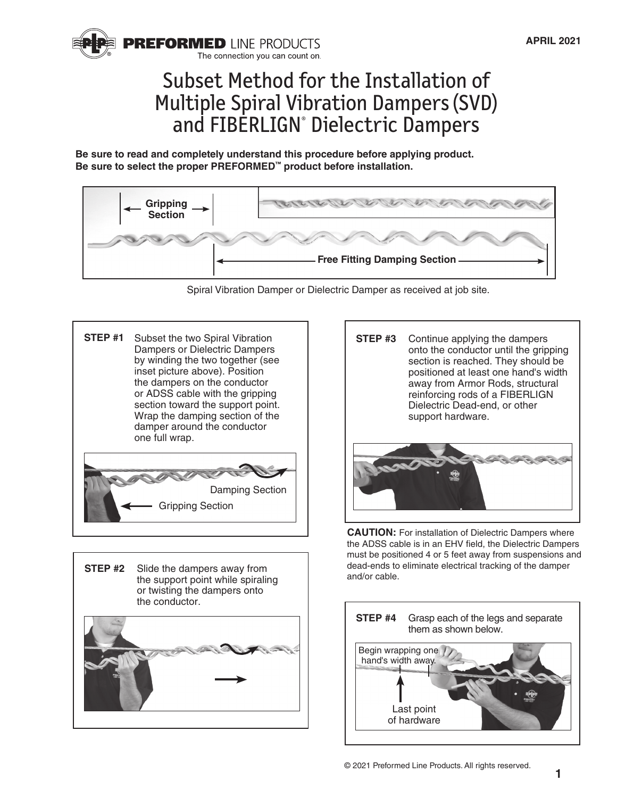

## Subset Method for the Installation of Multiple Spiral Vibration Dampers (SVD) and FIBERLIGN® Dielectric Dampers

**Be sure to read and completely understand this procedure before applying product. Be sure to select the proper PREFORMED™ product before installation.**



Spiral Vibration Damper or Dielectric Damper as received at job site.

Subset the two Spiral Vibration Dampers or Dielectric Dampers by winding the two together (see inset picture above). Position the dampers on the conductor or ADSS cable with the gripping section toward the support point. Wrap the damping section of the damper around the conductor one full wrap. **STEP #1** 

Damping Section Gripping Section





**CAUTION:** For installation of Dielectric Dampers where the ADSS cable is in an EHV field, the Dielectric Dampers must be positioned 4 or 5 feet away from suspensions and dead-ends to eliminate electrical tracking of the damper and/or cable.